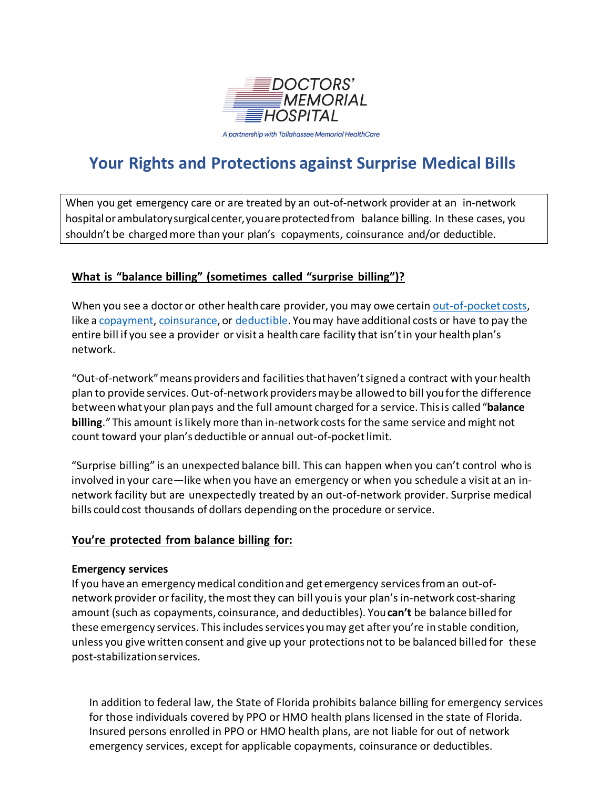

A partnership with Tallahassee Memorial HealthCare

# **Your Rights and Protections against Surprise Medical Bills**

When you get emergency care or are treated by an out-of-network provider at an in-network hospital or ambulatory surgical center, you are protected from balance billing. In these cases, you shouldn't be charged more than your plan's copayments, coinsurance and/or deductible.

# **What is "balance billing" (sometimes called "surprise billing")?**

When you see a doctor or other health care provider, you may owe certain [out-of-pocket](https://www.healthcare.gov/glossary/out-of-pocket-costs/) costs, like a [copayment,](https://www.healthcare.gov/glossary/co-payment/) [coinsurance,](https://www.healthcare.gov/glossary/co-insurance/) or [deductible.](https://www.healthcare.gov/glossary/deductible/) Youmay have additional costs or have to pay the entire bill if you see a provider or visit a health care facility that isn'tin your health plan's network.

"Out-of-network"meansproviders and facilitiesthathaven'tsigned a contract with your health plan to provide services.Out-of-network providersmaybe allowed to bill youforthe difference betweenwhat your plan pays and the full amount charged for a service. Thisis called "**balance billing**." This amount islikely more than in-network costs forthe same service and might not count toward your plan's deductible or annual out-of-pocketlimit.

"Surprise billing" is an unexpected balance bill. This can happen when you can't control who is involved in your care—like when you have an emergency or when you schedule a visit at an innetwork facility but are unexpectedly treated by an out-of-network provider. Surprise medical bills could cost thousands of dollars depending on the procedure or service.

## **You're protected from balance billing for:**

#### **Emergency services**

If you have an emergencymedical conditionand get emergency servicesfroman out-ofnetwork provider or facility, the most they can bill you is your plan's in-network cost-sharing amount (such as copayments, coinsurance, and deductibles). You**can't** be balance billed for these emergency services. This includes services you may get after you're in stable condition, unless you give written consent and give up your protections not to be balanced billed for these post-stabilizationservices.

In addition to federal law, the State of Florida prohibits balance billing for emergency services for those individuals covered by PPO or HMO health plans licensed in the state of Florida. Insured persons enrolled in PPO or HMO health plans, are not liable for out of network emergency services, except for applicable copayments, coinsurance or deductibles.